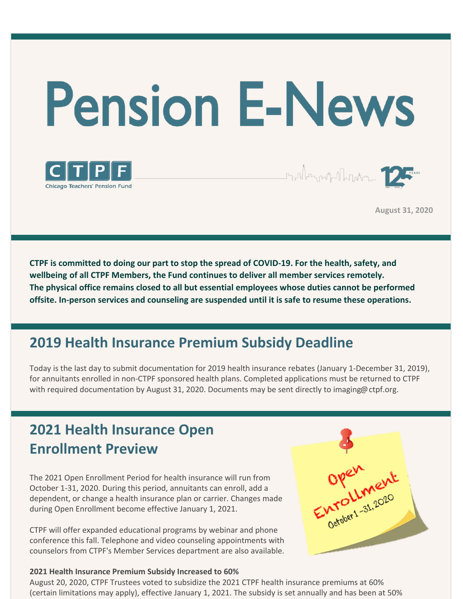# **Pension E-News**



**August 31, 2020**

Staller and all phone of the

**CTPF is committed to doing our part to stop the spread of COVID-19. For the health, safety, and wellbeing of all CTPF Members, the Fund continues to deliver all member services remotely. The physical office remains closed to all but essential employees whose duties cannot be performed offsite. In-person services and counseling are suspended until it is safe to resume these operations.**

## **2019 Health Insurance Premium Subsidy Deadline**

Today is the last day to submit documentation for 2019 health insurance rebates (January 1-December 31, 2019), for annuitants enrolled in non-CTPF sponsored health plans. Completed applications must be returned to CTPF with required documentation by August 31, 2020. Documents may be sent directly to imaging@ctpf.org.

## **2021 Health Insurance Open Enrollment Preview**

The 2021 Open Enrollment Period for health insurance will run from October 1-31, 2020. During this period, annuitants can enroll, add a dependent, or change a health insurance plan or carrier. Changes made during Open Enrollment become effective January 1, 2021.

CTPF will offer expanded educational programs by webinar and phone conference this fall. Telephone and video counseling appointments with counselors from CTPF's Member Services department are also available.

#### **2021 Health Insurance Premium Subsidy Increased to 60%**

Open ent

August 20, 2020, CTPF Trustees voted to subsidize the 2021 CTPF health insurance premiums at 60% (certain limitations may apply), effective January 1, 2021. The subsidy is set annually and has been at 50%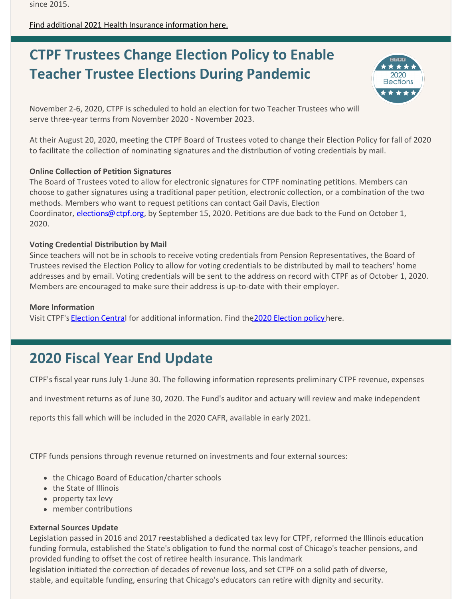since 2015.

[Find additional 2021 Health Insurance information here.](https://www.ctpf.org/news/2021-open-enrollment-update)

## **CTPF Trustees Change Election Policy to Enable Teacher Trustee Elections During Pandemic**



November 2-6, 2020, CTPF is scheduled to hold an election for two Teacher Trustees who will serve three-year terms from November 2020 - November 2023.

At their August 20, 2020, meeting the CTPF Board of Trustees voted to change their Election Policy for fall of 2020 to facilitate the collection of nominating signatures and the distribution of voting credentials by mail.

#### **Online Collection of Petition Signatures**

The Board of Trustees voted to allow for electronic signatures for CTPF nominating petitions. Members can choose to gather signatures using a traditional paper petition, electronic collection, or a combination of the two methods. Members who want to request petitions can contact Gail Davis, Election Coordinator, *elections@ctpf.org*, by September 15, 2020. Petitions are due back to the Fund on October 1, 2020.

#### **Voting Credential Distribution by Mail**

Since teachers will not be in schools to receive voting credentials from Pension Representatives, the Board of Trustees revised the Election Policy to allow for voting credentials to be distributed by mail to teachers' home addresses and by email. Voting credentials will be sent to the address on record with CTPF as of October 1, 2020. Members are encouraged to make sure their address is up-to-date with their employer.

#### **More Information**

Visit CTPF's [Election Centra](https://www.ctpf.org/2020-election-central)l for additional information. Find th[e 2020 Election policy](https://www.ctpf.org/sites/main/files/file-attachments/amended_election_policy_8.21.20_djh.pdf) here.

## **2020 Fiscal Year End Update**

CTPF's fiscal year runs July 1-June 30. The following information represents preliminary CTPF revenue, expenses

and investment returns as of June 30, 2020. The Fund's auditor and actuary will review and make independent

reports this fall which will be included in the 2020 CAFR, available in early 2021.

CTPF funds pensions through revenue returned on investments and four external sources:

- the Chicago Board of Education/charter schools
- the State of Illinois
- property tax levy
- member contributions

#### **External Sources Update**

Legislation passed in 2016 and 2017 reestablished a dedicated tax levy for CTPF, reformed the Illinois education funding formula, established the State's obligation to fund the normal cost of Chicago's teacher pensions, and provided funding to offset the cost of retiree health insurance. This landmark

legislation initiated the correction of decades of revenue loss, and set CTPF on a solid path of diverse, stable, and equitable funding, ensuring that Chicago's educators can retire with dignity and security.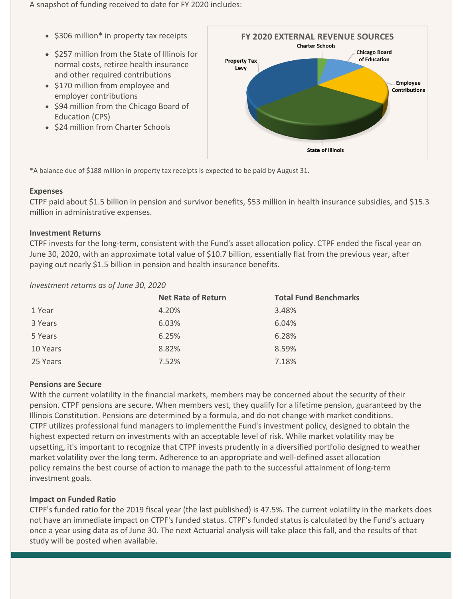A snapshot of funding received to date for FY 2020 includes:

- $\bullet$  \$306 million\* in property tax receipts
- \$257 million from the State of Illinois for normal costs, retiree health insurance and other required contributions
- \$170 million from employee and employer contributions
- \$94 million from the Chicago Board of Education (CPS)
- \$24 million from Charter Schools



\*A balance due of \$188 million in property tax receipts is expected to be paid by August 31.

#### **Expenses**

CTPF paid about \$1.5 billion in pension and survivor benefits, \$53 million in health insurance subsidies, and \$15.3 million in administrative expenses.

#### **Investment Returns**

CTPF invests for the long-term, consistent with the Fund's asset allocation policy. CTPF ended the fiscal year on June 30, 2020, with an approximate total value of \$10.7 billion, essentially flat from the previous year, after paying out nearly \$1.5 billion in pension and health insurance benefits.

#### *Investment returns as of June 30, 2020*

|          | <b>Net Rate of Return</b> | <b>Total Fund Benchmarks</b> |
|----------|---------------------------|------------------------------|
| 1 Year   | 4.20%                     | 3.48%                        |
| 3 Years  | 6.03%                     | 6.04%                        |
| 5 Years  | 6.25%                     | 6.28%                        |
| 10 Years | 8.82%                     | 8.59%                        |
| 25 Years | 7.52%                     | 7.18%                        |

#### **Pensions are Secure**

With the current volatility in the financial markets, members may be concerned about the security of their pension. CTPF pensions are secure. When members vest, they qualify for a lifetime pension, guaranteed by the Illinois Constitution. Pensions are determined by a formula, and do not change with market conditions. CTPF utilizes professional fund managers to implement the Fund's investment policy, designed to obtain the highest expected return on investments with an acceptable level of risk. While market volatility may be upsetting, it's important to recognize that CTPF invests prudently in a diversified portfolio designed to weather market volatility over the long term. Adherence to an appropriate and well-defined asset allocation policy remains the best course of action to manage the path to the successful attainment of long-term investment goals.

#### **Impact on Funded Ratio**

CTPF's funded ratio for the 2019 fiscal year (the last published) is 47.5%. The current volatility in the markets does not have an immediate impact on CTPF's funded status. CTPF's funded status is calculated by the Fund's actuary once a year using data as of June 30. The next Actuarial analysis will take place this fall, and the results of that study will be posted when available.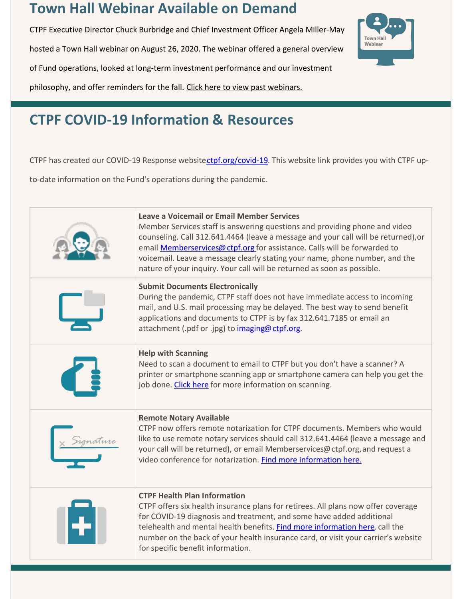## **Town Hall Webinar Available on Demand**

CTPF Executive Director Chuck Burbridge and Chief Investment Officer Angela Miller-May

hosted a Town Hall webinar on August 26, 2020. The webinar offered a general overview

of Fund operations, looked at long-term investment performance and our investment

philosophy, and offer reminders for the fall. [Click here to view past webinars.](https://www.ctpf.org/member-forms-information)



## **CTPF COVID-19 Information & Resources**

CTPF has created our COVID-19 Response websitectpf.org/covid-19. This website link provides you with CTPF up-

to-date information on the Fund's operations during the pandemic.

| <b>Leave a Voicemail or Email Member Services</b><br>Member Services staff is answering questions and providing phone and video<br>counseling. Call 312.641.4464 (leave a message and your call will be returned), or<br>email <b>Memberservices@ ctpf.org</b> for assistance. Calls will be forwarded to<br>voicemail. Leave a message clearly stating your name, phone number, and the<br>nature of your inquiry. Your call will be returned as soon as possible. |
|---------------------------------------------------------------------------------------------------------------------------------------------------------------------------------------------------------------------------------------------------------------------------------------------------------------------------------------------------------------------------------------------------------------------------------------------------------------------|
| <b>Submit Documents Electronically</b><br>During the pandemic, CTPF staff does not have immediate access to incoming<br>mail, and U.S. mail processing may be delayed. The best way to send benefit<br>applications and documents to CTPF is by fax 312.641.7185 or email an<br>attachment (.pdf or .jpg) to imaging@ctpf.org.                                                                                                                                      |
| <b>Help with Scanning</b><br>Need to scan a document to email to CTPF but you don't have a scanner? A<br>printer or smartphone scanning app or smartphone camera can help you get the<br>job done. Click here for more information on scanning.                                                                                                                                                                                                                     |
| <b>Remote Notary Available</b><br>CTPF now offers remote notarization for CTPF documents. Members who would<br>like to use remote notary services should call 312.641.4464 (leave a message and<br>your call will be returned), or email Memberservices@ ctpf.org, and request a<br>video conference for notarization. Find more information here.                                                                                                                  |
| <b>CTPF Health Plan Information</b><br>CTPF offers six health insurance plans for retirees. All plans now offer coverage<br>for COVID-19 diagnosis and treatment, and some have added additional<br>telehealth and mental health benefits. Find more information here, call the<br>number on the back of your health insurance card, or visit your carrier's website<br>for specific benefit information.                                                           |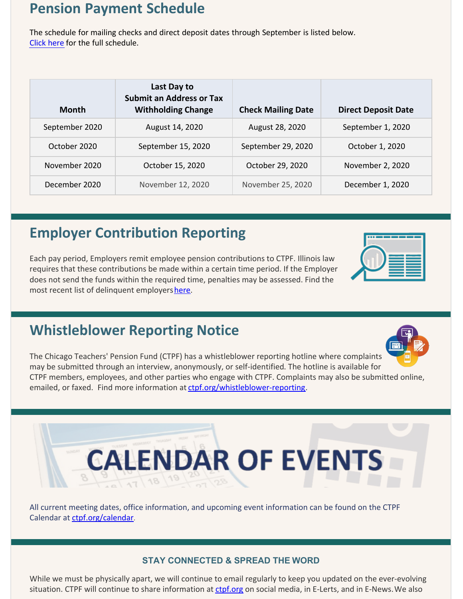### **Pension Payment Schedule**

The schedule for mailing checks and direct deposit dates through September is listed below. [Click here](https://www.ctpf.org/pension-payments) for the full schedule.

| Month          | Last Day to<br><b>Submit an Address or Tax</b><br><b>Withholding Change</b> | <b>Check Mailing Date</b> | <b>Direct Deposit Date</b> |
|----------------|-----------------------------------------------------------------------------|---------------------------|----------------------------|
| September 2020 | August 14, 2020                                                             | August 28, 2020           | September 1, 2020          |
| October 2020   | September 15, 2020                                                          | September 29, 2020        | October 1, 2020            |
| November 2020  | October 15, 2020                                                            | October 29, 2020          | November 2, 2020           |
| December 2020  | November 12, 2020                                                           | November 25, 2020         | December 1, 2020           |

## **Employer Contribution Reporting**

Each pay period, Employers remit employee pension contributions to CTPF. Illinois law requires that these contributions be made within a certain time period. If the Employer does not send the funds within the required time, penalties may be assessed. Find the most recent list of delinquent employers [here.](http://ctpf.org/employer-contribution-reporting)

## **Whistleblower Reporting Notice**



The Chicago Teachers' Pension Fund (CTPF) has a whistleblower reporting hotline where complaints may be submitted through an interview, anonymously, or self-identified. The hotline is available for CTPF members, employees, and other parties who engage with CTPF. Complaints may also be submitted online, emailed, or faxed. Find more information at [ctpf.org/whistleblower-reporting](http://ctpf.org/whistleblower-reporting).

## **CALENDAR OF EVENTS**

All current meeting dates, office information, and upcoming event information can be found on the CTPF Calendar at [ctpf.org/calendar](http://www.ctpf.org/calendar).

#### **STAY CONNECTED & SPREAD THE WORD**

While we must be physically apart, we will continue to email regularly to keep you updated on the ever-evolving situation. CTPF will continue to share information at [ctpf.org](http://ctpf.org) on social media, in E-Lerts, and in E-News. We also